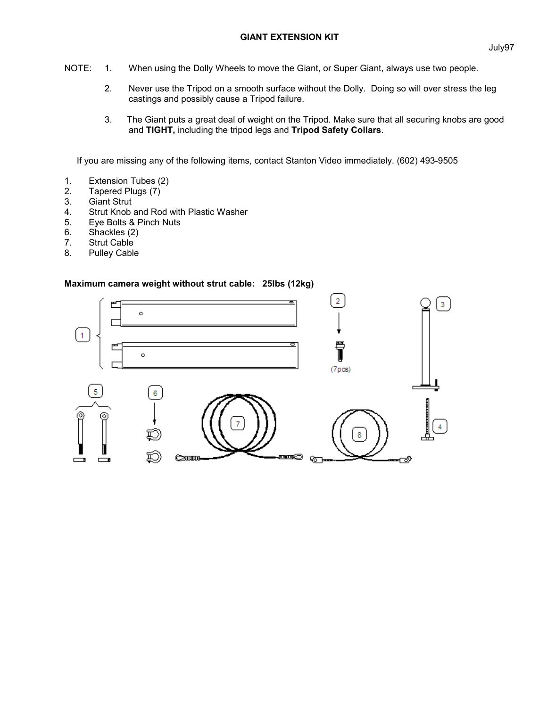- NOTE: 1. When using the Dolly Wheels to move the Giant, or Super Giant, always use two people.
	- 2. Never use the Tripod on a smooth surface without the Dolly. Doing so will over stress the leg castings and possibly cause a Tripod failure.
	- 3. The Giant puts a great deal of weight on the Tripod. Make sure that all securing knobs are good and **TIGHT,** including the tripod legs and **Tripod Safety Collars**.

If you are missing any of the following items, contact Stanton Video immediately. (602) 493-9505

- 1. Extension Tubes (2)
- 2. Tapered Plugs (7)<br>3. Giant Strut
- **Giant Strut**
- 4. Strut Knob and Rod with Plastic Washer
- 5. Eye Bolts & Pinch Nuts
- 6. Shackles (2)
- 7. Strut Cable
- 8. Pulley Cable

## **Maximum camera weight without strut cable: 25lbs (12kg)**

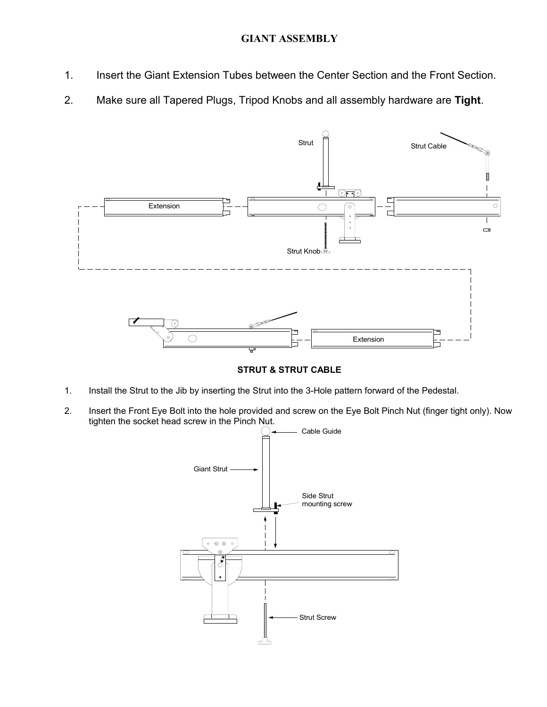## **GIANT ASSEMBLY**

- 1. Insert the Giant Extension Tubes between the Center Section and the Front Section.
- 2. Make sure all Tapered Plugs, Tripod Knobs and all assembly hardware are **Tight**.



**STRUT & STRUT CABLE**

- 1. Install the Strut to the Jib by inserting the Strut into the 3-Hole pattern forward of the Pedestal.
- 2. Insert the Front Eye Bolt into the hole provided and screw on the Eye Bolt Pinch Nut (finger tight only). Now tighten the socket head screw in the Pinch Nut.